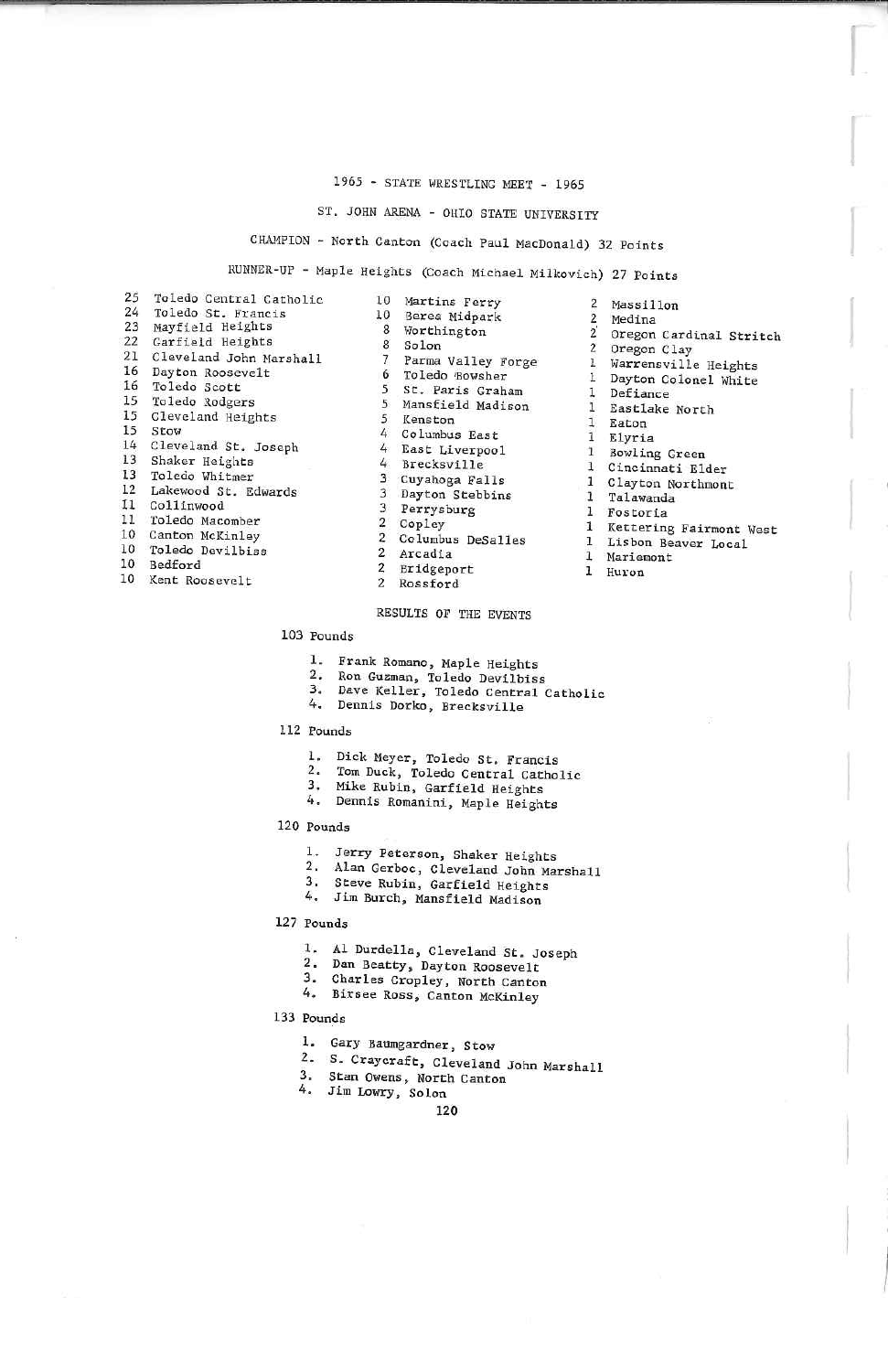### 1965 - STATE WRESTLING MEET - 1965

# ST. JOHN ARENA - OHIO STATE UNIVERSITY

# HAMPION - North Canton (Coach Paul MacDonald) 32 Points

# RUNN2R-UF - Haple Heights (Coach Michael. Milkovich) 27 Points

| 25       | Toledo Central Catholic |
|----------|-------------------------|
| $24^{1}$ | Toledo St. Francis      |
| 23       | Mayfield Heights        |
|          | 22 Garfield Heights     |
| 21       | Cleveland John Marshall |
|          | 16 Dayton Roosevelt     |
| 16       | Toledo Scott            |
|          | 15 Toledo Rodgers       |
| 15       | Cleveland Heights       |
|          | 15 Stow                 |
| 14       | Cleveland St. Joseph    |
| 13       | Shaker Heights          |
| 13       | Toledo Whitmer          |
| $12 \,$  | Lakewood St. Edwards    |
|          | Il Collinwood           |
| 11       | Toledo Macomber         |
|          | 10 Canton McKinley      |
| 10       | Toledo Devilbiss        |
| 10       | <b>Bedford</b>          |

10 Kent Roosevelt

| ---            | $\sqrt{2}$          |
|----------------|---------------------|
| 10             | Martins Ferry       |
| 10             | Berea Midpark       |
| -8             | Worthington         |
| 8              | Solon               |
| $\overline{7}$ | Parma Valley Forge  |
| 6              | Toledo Bowsher      |
| 5              | St. Paris Graham    |
| 5              | Mansfield Madison   |
| 5              | Kenston             |
| 4              | Columbus East       |
|                | 4 East Liverpool    |
| 4.             | Brecksville         |
| $\overline{3}$ | Cuyahoga Falls      |
|                | 3 Dayton Stebbins   |
|                | 3 Perrysburg        |
|                | 2 Copley            |
|                | 2 Columbus DeSalles |
| $\mathbf{2}$   | Arcadia             |
| $\overline{2}$ | Bridgeport          |
| $\overline{2}$ | Rossford            |
|                |                     |

## RESULTS OF THE EVENTS

### 103 Pounds

- 
- Ron Guzman, Toledo Devilbiss
- Dave Keller, Toledo Central Catholic
- 4. Dennis Dorko, Brecksville

### 112 Pounds

- 
- Tom Duck, Toledo Central Catholic<br>Mike Rubin, Garfield Heights<br>Dennis Romanini, Maple Heights
- 
- 

- 
- Alan Gerboc, Cleveland John Marshall<br>Steve Rubin, Garfield Heights<br>Jim Burch, Manafield Heights
- 
- 4. Jim Burch. Mansfield Madison

### 127 Pounds

- 1. Al Durdella, Cleveland St. Joseph
- 2. Dan Beatty, Dayton Roosevelt
- Charles Cronley, North Canton
- Birsee Ross, Canton McKinley

- 
- 
- 5. Craycraft, Cleveland John Marshall 3. Stan Owens, North Canton
- 4. Jim Lowry, Solon

### $120$

 $2^{1}$ . Deriance<br>Eastlake North  $\mathbf{1}$ 1 IEaton Elyria 1 Bowling Green 1 Cincinnati ElderClayton Northmont 1alawanda. 1Fostoria I Kettering Fairmont West 1Lisbon Beaver Local 1Mariamont 1HuL'unMas s i 1 IonMedina Oregon Cardinal StritchOregon Clay Marrensville HeLghfcs Dayton Colonel WhiteDefiance

z $\overline{2}$ 

 $\overline{2}$